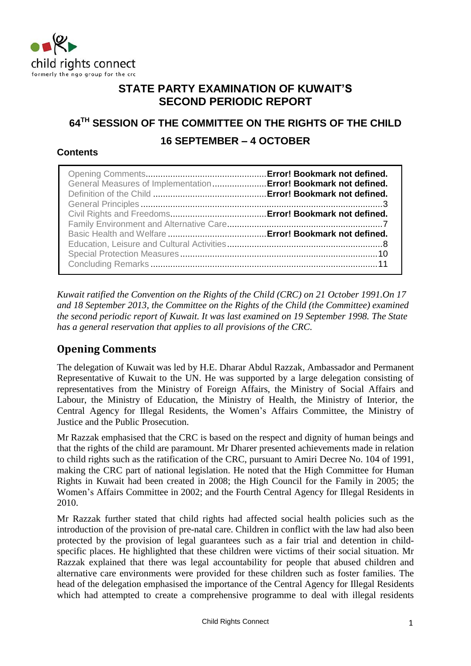

## **STATE PARTY EXAMINATION OF KUWAIT'S SECOND PERIODIC REPORT**

# **64TH SESSION OF THE COMMITTEE ON THE RIGHTS OF THE CHILD 16 SEPTEMBER – 4 OCTOBER**

## **Contents**

| General Measures of Implementation  Error! Bookmark not defined. |  |
|------------------------------------------------------------------|--|
|                                                                  |  |
|                                                                  |  |

*Kuwait ratified the Convention on the Rights of the Child (CRC) on 21 October 1991.On 17 and 18 September 2013, the Committee on the Rights of the Child (the Committee) examined the second periodic report of Kuwait. It was last examined on 19 September 1998. The State has a general reservation that applies to all provisions of the CRC.*

## **Opening Comments**

The delegation of Kuwait was led by H.E. Dharar Abdul Razzak, Ambassador and Permanent Representative of Kuwait to the UN. He was supported by a large delegation consisting of representatives from the Ministry of Foreign Affairs, the Ministry of Social Affairs and Labour, the Ministry of Education, the Ministry of Health, the Ministry of Interior, the Central Agency for Illegal Residents, the Women's Affairs Committee, the Ministry of Justice and the Public Prosecution.

Mr Razzak emphasised that the CRC is based on the respect and dignity of human beings and that the rights of the child are paramount. Mr Dharer presented achievements made in relation to child rights such as the ratification of the CRC, pursuant to Amiri Decree No. 104 of 1991, making the CRC part of national legislation. He noted that the High Committee for Human Rights in Kuwait had been created in 2008; the High Council for the Family in 2005; the Women's Affairs Committee in 2002; and the Fourth Central Agency for Illegal Residents in 2010.

Mr Razzak further stated that child rights had affected social health policies such as the introduction of the provision of pre-natal care. Children in conflict with the law had also been protected by the provision of legal guarantees such as a fair trial and detention in childspecific places. He highlighted that these children were victims of their social situation. Mr Razzak explained that there was legal accountability for people that abused children and alternative care environments were provided for these children such as foster families. The head of the delegation emphasised the importance of the Central Agency for Illegal Residents which had attempted to create a comprehensive programme to deal with illegal residents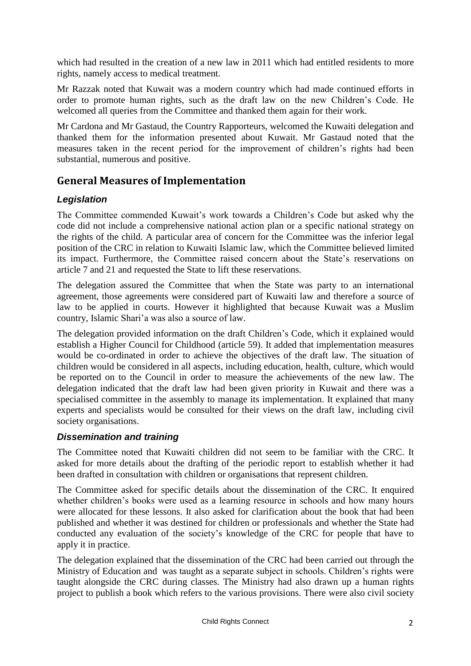which had resulted in the creation of a new law in 2011 which had entitled residents to more rights, namely access to medical treatment.

Mr Razzak noted that Kuwait was a modern country which had made continued efforts in order to promote human rights, such as the draft law on the new Children's Code. He welcomed all queries from the Committee and thanked them again for their work.

Mr Cardona and Mr Gastaud, the Country Rapporteurs, welcomed the Kuwaiti delegation and thanked them for the information presented about Kuwait. Mr Gastaud noted that the measures taken in the recent period for the improvement of children's rights had been substantial, numerous and positive.

## **General Measures of Implementation**

## *Legislation*

The Committee commended Kuwait's work towards a Children's Code but asked why the code did not include a comprehensive national action plan or a specific national strategy on the rights of the child. A particular area of concern for the Committee was the inferior legal position of the CRC in relation to Kuwaiti Islamic law, which the Committee believed limited its impact. Furthermore, the Committee raised concern about the State's reservations on article 7 and 21 and requested the State to lift these reservations.

The delegation assured the Committee that when the State was party to an international agreement, those agreements were considered part of Kuwaiti law and therefore a source of law to be applied in courts. However it highlighted that because Kuwait was a Muslim country, Islamic Shari'a was also a source of law.

The delegation provided information on the draft Children's Code, which it explained would establish a Higher Council for Childhood (article 59). It added that implementation measures would be co-ordinated in order to achieve the objectives of the draft law. The situation of children would be considered in all aspects, including education, health, culture, which would be reported on to the Council in order to measure the achievements of the new law. The delegation indicated that the draft law had been given priority in Kuwait and there was a specialised committee in the assembly to manage its implementation. It explained that many experts and specialists would be consulted for their views on the draft law, including civil society organisations.

## *Dissemination and training*

The Committee noted that Kuwaiti children did not seem to be familiar with the CRC. It asked for more details about the drafting of the periodic report to establish whether it had been drafted in consultation with children or organisations that represent children.

The Committee asked for specific details about the dissemination of the CRC. It enquired whether children's books were used as a learning resource in schools and how many hours were allocated for these lessons. It also asked for clarification about the book that had been published and whether it was destined for children or professionals and whether the State had conducted any evaluation of the society's knowledge of the CRC for people that have to apply it in practice.

The delegation explained that the dissemination of the CRC had been carried out through the Ministry of Education and was taught as a separate subject in schools. Children's rights were taught alongside the CRC during classes. The Ministry had also drawn up a human rights project to publish a book which refers to the various provisions. There were also civil society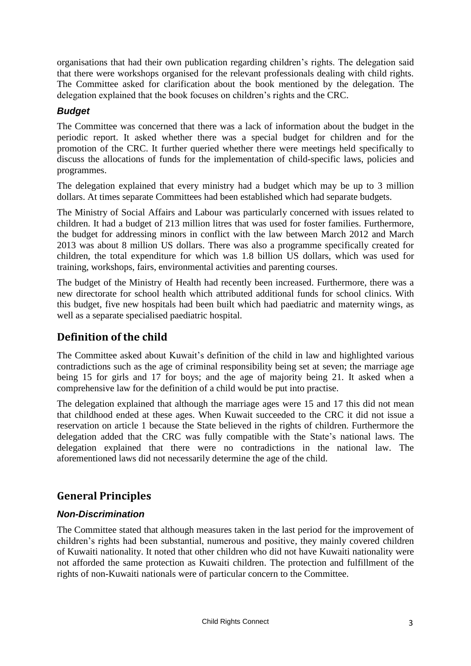organisations that had their own publication regarding children's rights. The delegation said that there were workshops organised for the relevant professionals dealing with child rights. The Committee asked for clarification about the book mentioned by the delegation. The delegation explained that the book focuses on children's rights and the CRC.

## *Budget*

The Committee was concerned that there was a lack of information about the budget in the periodic report. It asked whether there was a special budget for children and for the promotion of the CRC. It further queried whether there were meetings held specifically to discuss the allocations of funds for the implementation of child-specific laws, policies and programmes.

The delegation explained that every ministry had a budget which may be up to 3 million dollars. At times separate Committees had been established which had separate budgets.

The Ministry of Social Affairs and Labour was particularly concerned with issues related to children. It had a budget of 213 million litres that was used for foster families. Furthermore, the budget for addressing minors in conflict with the law between March 2012 and March 2013 was about 8 million US dollars. There was also a programme specifically created for children, the total expenditure for which was 1.8 billion US dollars, which was used for training, workshops, fairs, environmental activities and parenting courses.

The budget of the Ministry of Health had recently been increased. Furthermore, there was a new directorate for school health which attributed additional funds for school clinics. With this budget, five new hospitals had been built which had paediatric and maternity wings, as well as a separate specialised paediatric hospital.

## **Definition of the child**

The Committee asked about Kuwait's definition of the child in law and highlighted various contradictions such as the age of criminal responsibility being set at seven; the marriage age being 15 for girls and 17 for boys; and the age of majority being 21. It asked when a comprehensive law for the definition of a child would be put into practise.

The delegation explained that although the marriage ages were 15 and 17 this did not mean that childhood ended at these ages. When Kuwait succeeded to the CRC it did not issue a reservation on article 1 because the State believed in the rights of children. Furthermore the delegation added that the CRC was fully compatible with the State's national laws. The delegation explained that there were no contradictions in the national law. The aforementioned laws did not necessarily determine the age of the child.

## **General Principles**

## *Non-Discrimination*

The Committee stated that although measures taken in the last period for the improvement of children's rights had been substantial, numerous and positive, they mainly covered children of Kuwaiti nationality. It noted that other children who did not have Kuwaiti nationality were not afforded the same protection as Kuwaiti children. The protection and fulfillment of the rights of non-Kuwaiti nationals were of particular concern to the Committee.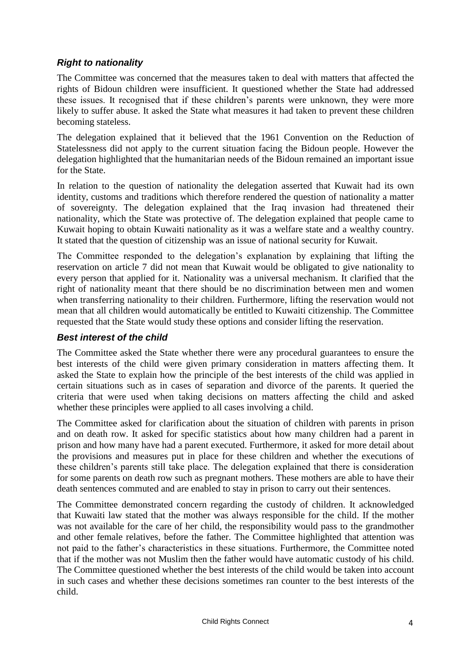## *Right to nationality*

The Committee was concerned that the measures taken to deal with matters that affected the rights of Bidoun children were insufficient. It questioned whether the State had addressed these issues. It recognised that if these children's parents were unknown, they were more likely to suffer abuse. It asked the State what measures it had taken to prevent these children becoming stateless.

The delegation explained that it believed that the 1961 Convention on the Reduction of Statelessness did not apply to the current situation facing the Bidoun people. However the delegation highlighted that the humanitarian needs of the Bidoun remained an important issue for the State.

In relation to the question of nationality the delegation asserted that Kuwait had its own identity, customs and traditions which therefore rendered the question of nationality a matter of sovereignty. The delegation explained that the Iraq invasion had threatened their nationality, which the State was protective of. The delegation explained that people came to Kuwait hoping to obtain Kuwaiti nationality as it was a welfare state and a wealthy country. It stated that the question of citizenship was an issue of national security for Kuwait.

The Committee responded to the delegation's explanation by explaining that lifting the reservation on article 7 did not mean that Kuwait would be obligated to give nationality to every person that applied for it. Nationality was a universal mechanism. It clarified that the right of nationality meant that there should be no discrimination between men and women when transferring nationality to their children. Furthermore, lifting the reservation would not mean that all children would automatically be entitled to Kuwaiti citizenship. The Committee requested that the State would study these options and consider lifting the reservation.

## *Best interest of the child*

The Committee asked the State whether there were any procedural guarantees to ensure the best interests of the child were given primary consideration in matters affecting them. It asked the State to explain how the principle of the best interests of the child was applied in certain situations such as in cases of separation and divorce of the parents. It queried the criteria that were used when taking decisions on matters affecting the child and asked whether these principles were applied to all cases involving a child.

The Committee asked for clarification about the situation of children with parents in prison and on death row. It asked for specific statistics about how many children had a parent in prison and how many have had a parent executed. Furthermore, it asked for more detail about the provisions and measures put in place for these children and whether the executions of these children's parents still take place. The delegation explained that there is consideration for some parents on death row such as pregnant mothers. These mothers are able to have their death sentences commuted and are enabled to stay in prison to carry out their sentences.

The Committee demonstrated concern regarding the custody of children. It acknowledged that Kuwaiti law stated that the mother was always responsible for the child. If the mother was not available for the care of her child, the responsibility would pass to the grandmother and other female relatives, before the father. The Committee highlighted that attention was not paid to the father's characteristics in these situations. Furthermore, the Committee noted that if the mother was not Muslim then the father would have automatic custody of his child. The Committee questioned whether the best interests of the child would be taken into account in such cases and whether these decisions sometimes ran counter to the best interests of the child.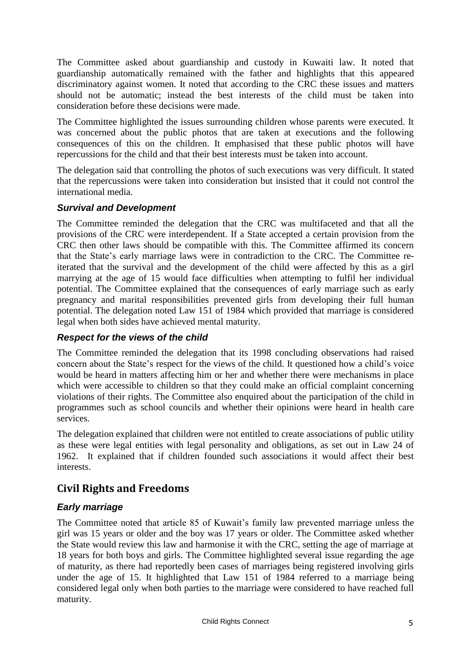The Committee asked about guardianship and custody in Kuwaiti law. It noted that guardianship automatically remained with the father and highlights that this appeared discriminatory against women. It noted that according to the CRC these issues and matters should not be automatic; instead the best interests of the child must be taken into consideration before these decisions were made.

The Committee highlighted the issues surrounding children whose parents were executed. It was concerned about the public photos that are taken at executions and the following consequences of this on the children. It emphasised that these public photos will have repercussions for the child and that their best interests must be taken into account.

The delegation said that controlling the photos of such executions was very difficult. It stated that the repercussions were taken into consideration but insisted that it could not control the international media.

#### *Survival and Development*

The Committee reminded the delegation that the CRC was multifaceted and that all the provisions of the CRC were interdependent. If a State accepted a certain provision from the CRC then other laws should be compatible with this. The Committee affirmed its concern that the State's early marriage laws were in contradiction to the CRC. The Committee reiterated that the survival and the development of the child were affected by this as a girl marrying at the age of 15 would face difficulties when attempting to fulfil her individual potential. The Committee explained that the consequences of early marriage such as early pregnancy and marital responsibilities prevented girls from developing their full human potential. The delegation noted Law 151 of 1984 which provided that marriage is considered legal when both sides have achieved mental maturity.

## *Respect for the views of the child*

The Committee reminded the delegation that its 1998 concluding observations had raised concern about the State's respect for the views of the child. It questioned how a child's voice would be heard in matters affecting him or her and whether there were mechanisms in place which were accessible to children so that they could make an official complaint concerning violations of their rights. The Committee also enquired about the participation of the child in programmes such as school councils and whether their opinions were heard in health care services.

The delegation explained that children were not entitled to create associations of public utility as these were legal entities with legal personality and obligations, as set out in Law 24 of 1962. It explained that if children founded such associations it would affect their best interests.

## **Civil Rights and Freedoms**

## *Early marriage*

The Committee noted that article 85 of Kuwait's family law prevented marriage unless the girl was 15 years or older and the boy was 17 years or older. The Committee asked whether the State would review this law and harmonise it with the CRC, setting the age of marriage at 18 years for both boys and girls. The Committee highlighted several issue regarding the age of maturity, as there had reportedly been cases of marriages being registered involving girls under the age of 15. It highlighted that Law 151 of 1984 referred to a marriage being considered legal only when both parties to the marriage were considered to have reached full maturity.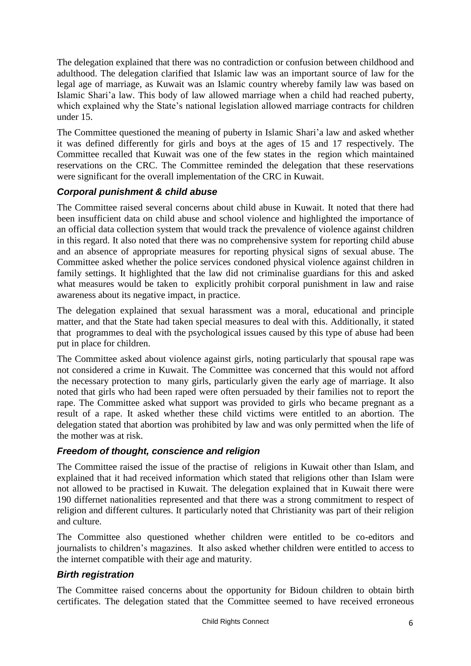The delegation explained that there was no contradiction or confusion between childhood and adulthood. The delegation clarified that Islamic law was an important source of law for the legal age of marriage, as Kuwait was an Islamic country whereby family law was based on Islamic Shari'a law. This body of law allowed marriage when a child had reached puberty, which explained why the State's national legislation allowed marriage contracts for children under 15.

The Committee questioned the meaning of puberty in Islamic Shari'a law and asked whether it was defined differently for girls and boys at the ages of 15 and 17 respectively. The Committee recalled that Kuwait was one of the few states in the region which maintained reservations on the CRC. The Committee reminded the delegation that these reservations were significant for the overall implementation of the CRC in Kuwait.

## *Corporal punishment & child abuse*

The Committee raised several concerns about child abuse in Kuwait. It noted that there had been insufficient data on child abuse and school violence and highlighted the importance of an official data collection system that would track the prevalence of violence against children in this regard. It also noted that there was no comprehensive system for reporting child abuse and an absence of appropriate measures for reporting physical signs of sexual abuse. The Committee asked whether the police services condoned physical violence against children in family settings. It highlighted that the law did not criminalise guardians for this and asked what measures would be taken to explicitly prohibit corporal punishment in law and raise awareness about its negative impact, in practice.

The delegation explained that sexual harassment was a moral, educational and principle matter, and that the State had taken special measures to deal with this. Additionally, it stated that programmes to deal with the psychological issues caused by this type of abuse had been put in place for children.

The Committee asked about violence against girls, noting particularly that spousal rape was not considered a crime in Kuwait. The Committee was concerned that this would not afford the necessary protection to many girls, particularly given the early age of marriage. It also noted that girls who had been raped were often persuaded by their families not to report the rape. The Committee asked what support was provided to girls who became pregnant as a result of a rape. It asked whether these child victims were entitled to an abortion. The delegation stated that abortion was prohibited by law and was only permitted when the life of the mother was at risk.

## *Freedom of thought, conscience and religion*

The Committee raised the issue of the practise of religions in Kuwait other than Islam, and explained that it had received information which stated that religions other than Islam were not allowed to be practised in Kuwait. The delegation explained that in Kuwait there were 190 differnet nationalities represented and that there was a strong commitment to respect of religion and different cultures. It particularly noted that Christianity was part of their religion and culture.

The Committee also questioned whether children were entitled to be co-editors and journalists to children's magazines. It also asked whether children were entitled to access to the internet compatible with their age and maturity.

## *Birth registration*

The Committee raised concerns about the opportunity for Bidoun children to obtain birth certificates. The delegation stated that the Committee seemed to have received erroneous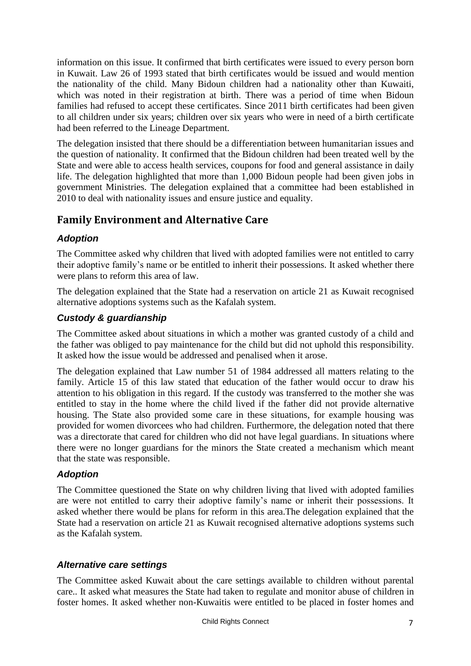information on this issue. It confirmed that birth certificates were issued to every person born in Kuwait. Law 26 of 1993 stated that birth certificates would be issued and would mention the nationality of the child. Many Bidoun children had a nationality other than Kuwaiti, which was noted in their registration at birth. There was a period of time when Bidoun families had refused to accept these certificates. Since 2011 birth certificates had been given to all children under six years; children over six years who were in need of a birth certificate had been referred to the Lineage Department.

The delegation insisted that there should be a differentiation between humanitarian issues and the question of nationality. It confirmed that the Bidoun children had been treated well by the State and were able to access health services, coupons for food and general assistance in daily life. The delegation highlighted that more than 1,000 Bidoun people had been given jobs in government Ministries. The delegation explained that a committee had been established in 2010 to deal with nationality issues and ensure justice and equality.

## **Family Environment and Alternative Care**

#### *Adoption*

The Committee asked why children that lived with adopted families were not entitled to carry their adoptive family's name or be entitled to inherit their possessions. It asked whether there were plans to reform this area of law.

The delegation explained that the State had a reservation on article 21 as Kuwait recognised alternative adoptions systems such as the Kafalah system.

## *Custody & guardianship*

The Committee asked about situations in which a mother was granted custody of a child and the father was obliged to pay maintenance for the child but did not uphold this responsibility. It asked how the issue would be addressed and penalised when it arose.

The delegation explained that Law number 51 of 1984 addressed all matters relating to the family. Article 15 of this law stated that education of the father would occur to draw his attention to his obligation in this regard. If the custody was transferred to the mother she was entitled to stay in the home where the child lived if the father did not provide alternative housing. The State also provided some care in these situations, for example housing was provided for women divorcees who had children. Furthermore, the delegation noted that there was a directorate that cared for children who did not have legal guardians. In situations where there were no longer guardians for the minors the State created a mechanism which meant that the state was responsible.

## *Adoption*

The Committee questioned the State on why children living that lived with adopted families are were not entitled to carry their adoptive family's name or inherit their possessions. It asked whether there would be plans for reform in this area.The delegation explained that the State had a reservation on article 21 as Kuwait recognised alternative adoptions systems such as the Kafalah system.

## *Alternative care settings*

The Committee asked Kuwait about the care settings available to children without parental care.. It asked what measures the State had taken to regulate and monitor abuse of children in foster homes. It asked whether non-Kuwaitis were entitled to be placed in foster homes and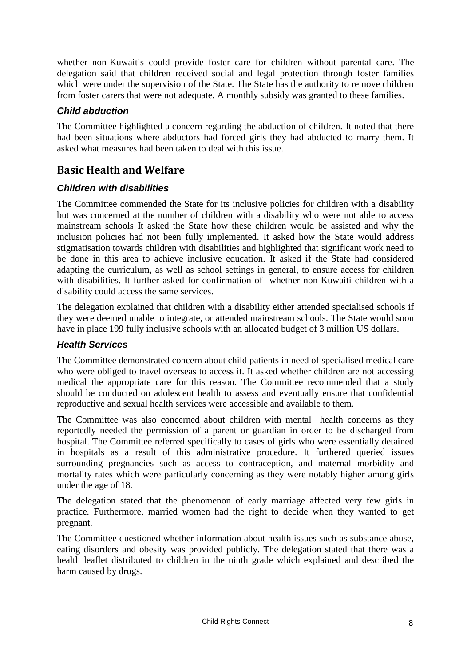whether non-Kuwaitis could provide foster care for children without parental care. The delegation said that children received social and legal protection through foster families which were under the supervision of the State. The State has the authority to remove children from foster carers that were not adequate. A monthly subsidy was granted to these families.

#### *Child abduction*

The Committee highlighted a concern regarding the abduction of children. It noted that there had been situations where abductors had forced girls they had abducted to marry them. It asked what measures had been taken to deal with this issue.

## **Basic Health and Welfare**

#### *Children with disabilities*

The Committee commended the State for its inclusive policies for children with a disability but was concerned at the number of children with a disability who were not able to access mainstream schools It asked the State how these children would be assisted and why the inclusion policies had not been fully implemented. It asked how the State would address stigmatisation towards children with disabilities and highlighted that significant work need to be done in this area to achieve inclusive education. It asked if the State had considered adapting the curriculum, as well as school settings in general, to ensure access for children with disabilities. It further asked for confirmation of whether non-Kuwaiti children with a disability could access the same services.

The delegation explained that children with a disability either attended specialised schools if they were deemed unable to integrate, or attended mainstream schools. The State would soon have in place 199 fully inclusive schools with an allocated budget of 3 million US dollars.

## *Health Services*

The Committee demonstrated concern about child patients in need of specialised medical care who were obliged to travel overseas to access it. It asked whether children are not accessing medical the appropriate care for this reason. The Committee recommended that a study should be conducted on adolescent health to assess and eventually ensure that confidential reproductive and sexual health services were accessible and available to them.

The Committee was also concerned about children with mental health concerns as they reportedly needed the permission of a parent or guardian in order to be discharged from hospital. The Committee referred specifically to cases of girls who were essentially detained in hospitals as a result of this administrative procedure. It furthered queried issues surrounding pregnancies such as access to contraception, and maternal morbidity and mortality rates which were particularly concerning as they were notably higher among girls under the age of 18.

The delegation stated that the phenomenon of early marriage affected very few girls in practice. Furthermore, married women had the right to decide when they wanted to get pregnant.

The Committee questioned whether information about health issues such as substance abuse, eating disorders and obesity was provided publicly. The delegation stated that there was a health leaflet distributed to children in the ninth grade which explained and described the harm caused by drugs.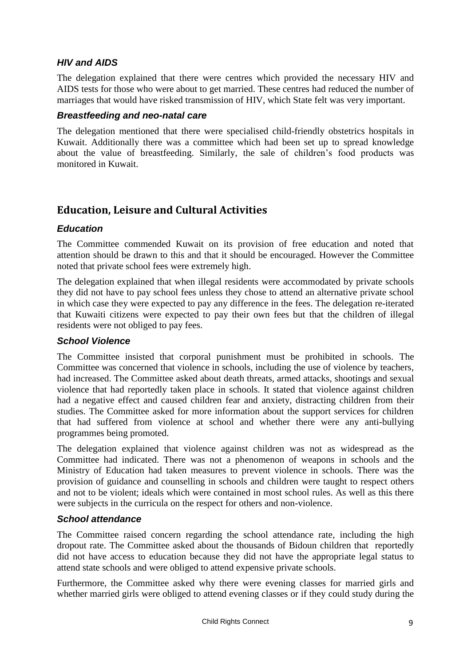## *HIV and AIDS*

The delegation explained that there were centres which provided the necessary HIV and AIDS tests for those who were about to get married. These centres had reduced the number of marriages that would have risked transmission of HIV, which State felt was very important.

#### *Breastfeeding and neo-natal care*

The delegation mentioned that there were specialised child-friendly obstetrics hospitals in Kuwait. Additionally there was a committee which had been set up to spread knowledge about the value of breastfeeding. Similarly, the sale of children's food products was monitored in Kuwait.

## **Education, Leisure and Cultural Activities**

## *Education*

The Committee commended Kuwait on its provision of free education and noted that attention should be drawn to this and that it should be encouraged. However the Committee noted that private school fees were extremely high.

The delegation explained that when illegal residents were accommodated by private schools they did not have to pay school fees unless they chose to attend an alternative private school in which case they were expected to pay any difference in the fees. The delegation re-iterated that Kuwaiti citizens were expected to pay their own fees but that the children of illegal residents were not obliged to pay fees.

#### *School Violence*

The Committee insisted that corporal punishment must be prohibited in schools. The Committee was concerned that violence in schools, including the use of violence by teachers, had increased. The Committee asked about death threats, armed attacks, shootings and sexual violence that had reportedly taken place in schools. It stated that violence against children had a negative effect and caused children fear and anxiety, distracting children from their studies. The Committee asked for more information about the support services for children that had suffered from violence at school and whether there were any anti-bullying programmes being promoted.

The delegation explained that violence against children was not as widespread as the Committee had indicated. There was not a phenomenon of weapons in schools and the Ministry of Education had taken measures to prevent violence in schools. There was the provision of guidance and counselling in schools and children were taught to respect others and not to be violent; ideals which were contained in most school rules. As well as this there were subjects in the curricula on the respect for others and non-violence.

#### *School attendance*

The Committee raised concern regarding the school attendance rate, including the high dropout rate. The Committee asked about the thousands of Bidoun children that reportedly did not have access to education because they did not have the appropriate legal status to attend state schools and were obliged to attend expensive private schools.

Furthermore, the Committee asked why there were evening classes for married girls and whether married girls were obliged to attend evening classes or if they could study during the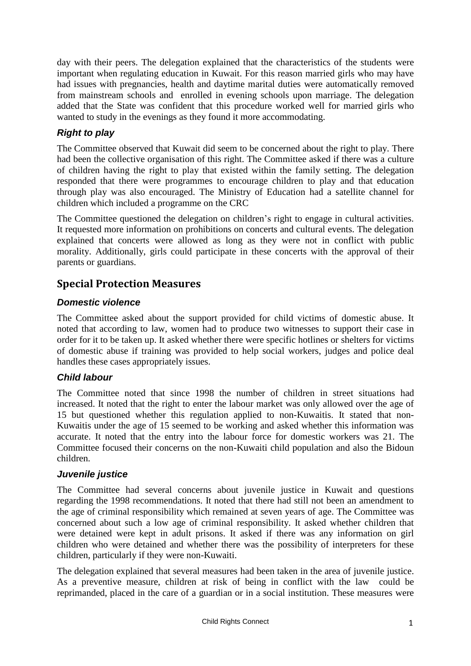day with their peers. The delegation explained that the characteristics of the students were important when regulating education in Kuwait. For this reason married girls who may have had issues with pregnancies, health and daytime marital duties were automatically removed from mainstream schools and enrolled in evening schools upon marriage. The delegation added that the State was confident that this procedure worked well for married girls who wanted to study in the evenings as they found it more accommodating.

## *Right to play*

The Committee observed that Kuwait did seem to be concerned about the right to play. There had been the collective organisation of this right. The Committee asked if there was a culture of children having the right to play that existed within the family setting. The delegation responded that there were programmes to encourage children to play and that education through play was also encouraged. The Ministry of Education had a satellite channel for children which included a programme on the CRC

The Committee questioned the delegation on children's right to engage in cultural activities. It requested more information on prohibitions on concerts and cultural events. The delegation explained that concerts were allowed as long as they were not in conflict with public morality. Additionally, girls could participate in these concerts with the approval of their parents or guardians.

## **Special Protection Measures**

#### *Domestic violence*

The Committee asked about the support provided for child victims of domestic abuse. It noted that according to law, women had to produce two witnesses to support their case in order for it to be taken up. It asked whether there were specific hotlines or shelters for victims of domestic abuse if training was provided to help social workers, judges and police deal handles these cases appropriately issues.

## *Child labour*

The Committee noted that since 1998 the number of children in street situations had increased. It noted that the right to enter the labour market was only allowed over the age of 15 but questioned whether this regulation applied to non-Kuwaitis. It stated that non-Kuwaitis under the age of 15 seemed to be working and asked whether this information was accurate. It noted that the entry into the labour force for domestic workers was 21. The Committee focused their concerns on the non-Kuwaiti child population and also the Bidoun children.

#### *Juvenile justice*

The Committee had several concerns about juvenile justice in Kuwait and questions regarding the 1998 recommendations. It noted that there had still not been an amendment to the age of criminal responsibility which remained at seven years of age. The Committee was concerned about such a low age of criminal responsibility. It asked whether children that were detained were kept in adult prisons. It asked if there was any information on girl children who were detained and whether there was the possibility of interpreters for these children, particularly if they were non-Kuwaiti.

The delegation explained that several measures had been taken in the area of juvenile justice. As a preventive measure, children at risk of being in conflict with the law could be reprimanded, placed in the care of a guardian or in a social institution. These measures were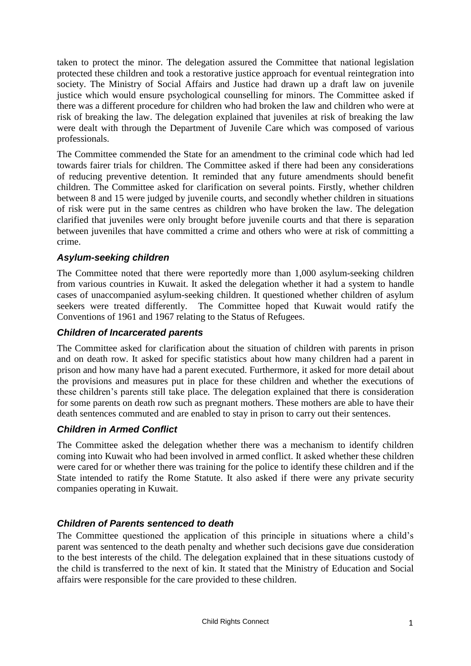taken to protect the minor. The delegation assured the Committee that national legislation protected these children and took a restorative justice approach for eventual reintegration into society. The Ministry of Social Affairs and Justice had drawn up a draft law on juvenile justice which would ensure psychological counselling for minors. The Committee asked if there was a different procedure for children who had broken the law and children who were at risk of breaking the law. The delegation explained that juveniles at risk of breaking the law were dealt with through the Department of Juvenile Care which was composed of various professionals.

The Committee commended the State for an amendment to the criminal code which had led towards fairer trials for children. The Committee asked if there had been any considerations of reducing preventive detention. It reminded that any future amendments should benefit children. The Committee asked for clarification on several points. Firstly, whether children between 8 and 15 were judged by juvenile courts, and secondly whether children in situations of risk were put in the same centres as children who have broken the law. The delegation clarified that juveniles were only brought before juvenile courts and that there is separation between juveniles that have committed a crime and others who were at risk of committing a crime.

#### *Asylum-seeking children*

The Committee noted that there were reportedly more than 1,000 asylum-seeking children from various countries in Kuwait. It asked the delegation whether it had a system to handle cases of unaccompanied asylum-seeking children. It questioned whether children of asylum seekers were treated differently. The Committee hoped that Kuwait would ratify the Conventions of 1961 and 1967 relating to the Status of Refugees.

#### *Children of Incarcerated parents*

The Committee asked for clarification about the situation of children with parents in prison and on death row. It asked for specific statistics about how many children had a parent in prison and how many have had a parent executed. Furthermore, it asked for more detail about the provisions and measures put in place for these children and whether the executions of these children's parents still take place. The delegation explained that there is consideration for some parents on death row such as pregnant mothers. These mothers are able to have their death sentences commuted and are enabled to stay in prison to carry out their sentences.

#### *Children in Armed Conflict*

The Committee asked the delegation whether there was a mechanism to identify children coming into Kuwait who had been involved in armed conflict. It asked whether these children were cared for or whether there was training for the police to identify these children and if the State intended to ratify the Rome Statute. It also asked if there were any private security companies operating in Kuwait.

## *Children of Parents sentenced to death*

The Committee questioned the application of this principle in situations where a child's parent was sentenced to the death penalty and whether such decisions gave due consideration to the best interests of the child. The delegation explained that in these situations custody of the child is transferred to the next of kin. It stated that the Ministry of Education and Social affairs were responsible for the care provided to these children.